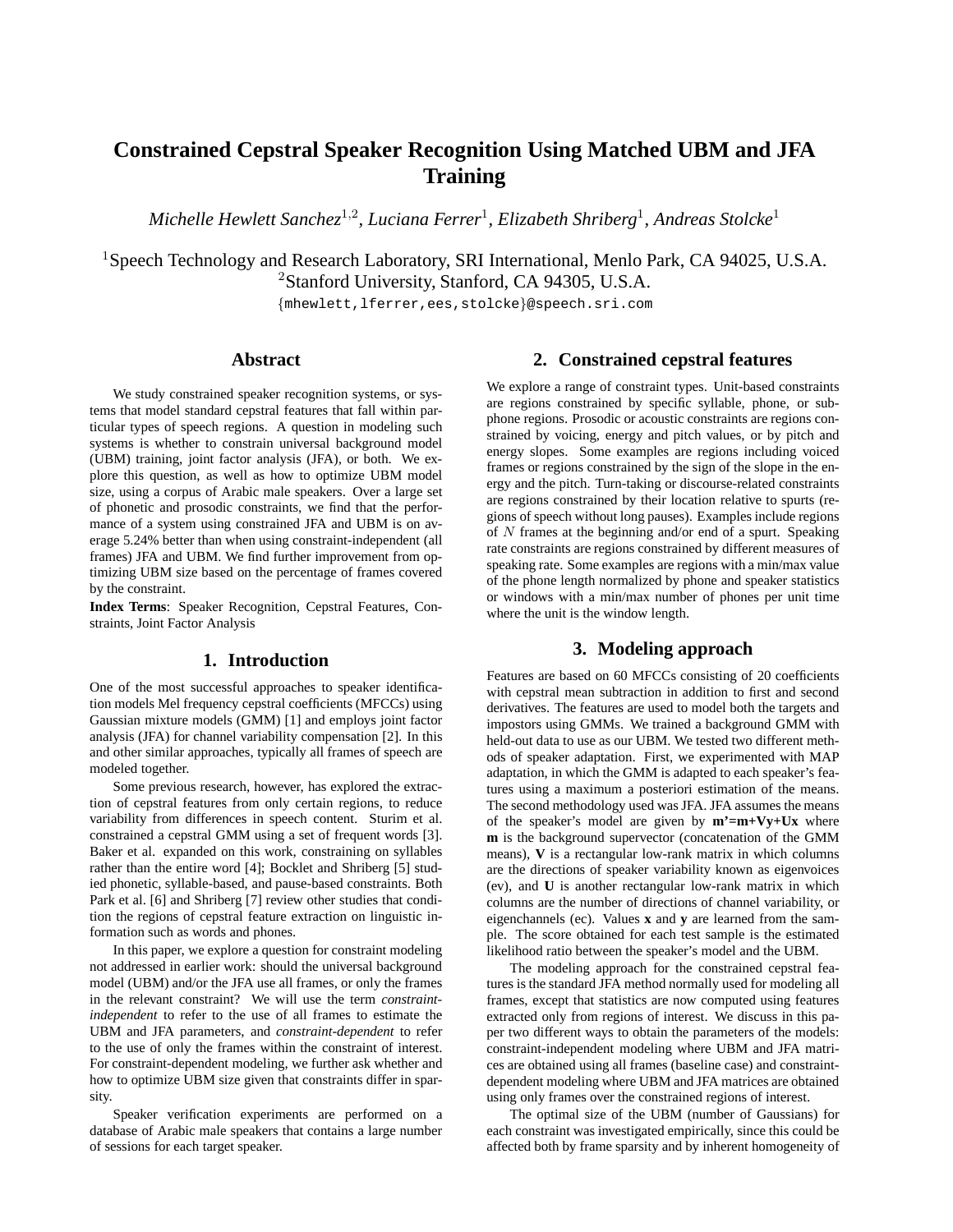# **Constrained Cepstral Speaker Recognition Using Matched UBM and JFA Training**

 $\emph{Michelle Hewlett Sanchez}^{1,2}$ , Luciana Ferrer<sup>1</sup>, Elizabeth Shriberg<sup>1</sup>, Andreas Stolcke<sup>1</sup>

<sup>1</sup>Speech Technology and Research Laboratory, SRI International, Menlo Park, CA 94025, U.S.A. <sup>2</sup>Stanford University, Stanford, CA 94305, U.S.A.

{mhewlett,lferrer,ees,stolcke}@speech.sri.com

# **Abstract**

We study constrained speaker recognition systems, or systems that model standard cepstral features that fall within particular types of speech regions. A question in modeling such systems is whether to constrain universal background model (UBM) training, joint factor analysis (JFA), or both. We explore this question, as well as how to optimize UBM model size, using a corpus of Arabic male speakers. Over a large set of phonetic and prosodic constraints, we find that the performance of a system using constrained JFA and UBM is on average 5.24% better than when using constraint-independent (all frames) JFA and UBM. We find further improvement from optimizing UBM size based on the percentage of frames covered by the constraint.

**Index Terms**: Speaker Recognition, Cepstral Features, Constraints, Joint Factor Analysis

## **1. Introduction**

One of the most successful approaches to speaker identification models Mel frequency cepstral coefficients (MFCCs) using Gaussian mixture models (GMM) [1] and employs joint factor analysis (JFA) for channel variability compensation [2]. In this and other similar approaches, typically all frames of speech are modeled together.

Some previous research, however, has explored the extraction of cepstral features from only certain regions, to reduce variability from differences in speech content. Sturim et al. constrained a cepstral GMM using a set of frequent words [3]. Baker et al. expanded on this work, constraining on syllables rather than the entire word [4]; Bocklet and Shriberg [5] studied phonetic, syllable-based, and pause-based constraints. Both Park et al. [6] and Shriberg [7] review other studies that condition the regions of cepstral feature extraction on linguistic information such as words and phones.

In this paper, we explore a question for constraint modeling not addressed in earlier work: should the universal background model (UBM) and/or the JFA use all frames, or only the frames in the relevant constraint? We will use the term *constraintindependent* to refer to the use of all frames to estimate the UBM and JFA parameters, and *constraint-dependent* to refer to the use of only the frames within the constraint of interest. For constraint-dependent modeling, we further ask whether and how to optimize UBM size given that constraints differ in sparsity.

Speaker verification experiments are performed on a database of Arabic male speakers that contains a large number of sessions for each target speaker.

# **2. Constrained cepstral features**

We explore a range of constraint types. Unit-based constraints are regions constrained by specific syllable, phone, or subphone regions. Prosodic or acoustic constraints are regions constrained by voicing, energy and pitch values, or by pitch and energy slopes. Some examples are regions including voiced frames or regions constrained by the sign of the slope in the energy and the pitch. Turn-taking or discourse-related constraints are regions constrained by their location relative to spurts (regions of speech without long pauses). Examples include regions of  $N$  frames at the beginning and/or end of a spurt. Speaking rate constraints are regions constrained by different measures of speaking rate. Some examples are regions with a min/max value of the phone length normalized by phone and speaker statistics or windows with a min/max number of phones per unit time where the unit is the window length.

# **3. Modeling approach**

Features are based on 60 MFCCs consisting of 20 coefficients with cepstral mean subtraction in addition to first and second derivatives. The features are used to model both the targets and impostors using GMMs. We trained a background GMM with held-out data to use as our UBM. We tested two different methods of speaker adaptation. First, we experimented with MAP adaptation, in which the GMM is adapted to each speaker's features using a maximum a posteriori estimation of the means. The second methodology used was JFA. JFA assumes the means of the speaker's model are given by **m'=m+Vy+Ux** where **m** is the background supervector (concatenation of the GMM means), **V** is a rectangular low-rank matrix in which columns are the directions of speaker variability known as eigenvoices (ev), and **U** is another rectangular low-rank matrix in which columns are the number of directions of channel variability, or eigenchannels (ec). Values **x** and **y** are learned from the sample. The score obtained for each test sample is the estimated likelihood ratio between the speaker's model and the UBM.

The modeling approach for the constrained cepstral features is the standard JFA method normally used for modeling all frames, except that statistics are now computed using features extracted only from regions of interest. We discuss in this paper two different ways to obtain the parameters of the models: constraint-independent modeling where UBM and JFA matrices are obtained using all frames (baseline case) and constraintdependent modeling where UBM and JFA matrices are obtained using only frames over the constrained regions of interest.

The optimal size of the UBM (number of Gaussians) for each constraint was investigated empirically, since this could be affected both by frame sparsity and by inherent homogeneity of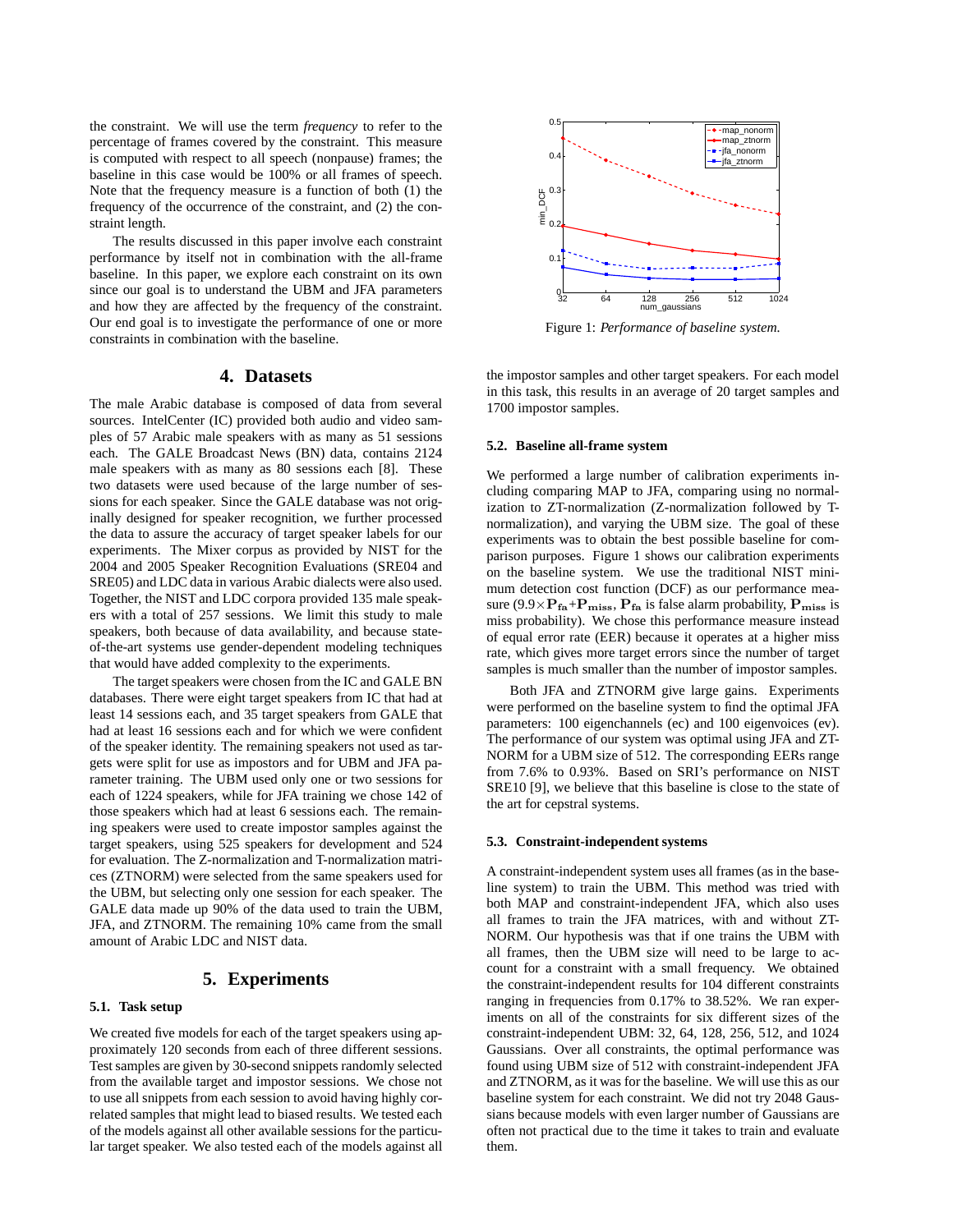the constraint. We will use the term *frequency* to refer to the percentage of frames covered by the constraint. This measure is computed with respect to all speech (nonpause) frames; the baseline in this case would be 100% or all frames of speech. Note that the frequency measure is a function of both (1) the frequency of the occurrence of the constraint, and (2) the constraint length.

The results discussed in this paper involve each constraint performance by itself not in combination with the all-frame baseline. In this paper, we explore each constraint on its own since our goal is to understand the UBM and JFA parameters and how they are affected by the frequency of the constraint. Our end goal is to investigate the performance of one or more constraints in combination with the baseline.

# **4. Datasets**

The male Arabic database is composed of data from several sources. IntelCenter (IC) provided both audio and video samples of 57 Arabic male speakers with as many as 51 sessions each. The GALE Broadcast News (BN) data, contains 2124 male speakers with as many as 80 sessions each [8]. These two datasets were used because of the large number of sessions for each speaker. Since the GALE database was not originally designed for speaker recognition, we further processed the data to assure the accuracy of target speaker labels for our experiments. The Mixer corpus as provided by NIST for the 2004 and 2005 Speaker Recognition Evaluations (SRE04 and SRE05) and LDC data in various Arabic dialects were also used. Together, the NIST and LDC corpora provided 135 male speakers with a total of 257 sessions. We limit this study to male speakers, both because of data availability, and because stateof-the-art systems use gender-dependent modeling techniques that would have added complexity to the experiments.

The target speakers were chosen from the IC and GALE BN databases. There were eight target speakers from IC that had at least 14 sessions each, and 35 target speakers from GALE that had at least 16 sessions each and for which we were confident of the speaker identity. The remaining speakers not used as targets were split for use as impostors and for UBM and JFA parameter training. The UBM used only one or two sessions for each of 1224 speakers, while for JFA training we chose 142 of those speakers which had at least 6 sessions each. The remaining speakers were used to create impostor samples against the target speakers, using 525 speakers for development and 524 for evaluation. The Z-normalization and T-normalization matrices (ZTNORM) were selected from the same speakers used for the UBM, but selecting only one session for each speaker. The GALE data made up 90% of the data used to train the UBM, JFA, and ZTNORM. The remaining 10% came from the small amount of Arabic LDC and NIST data.

# **5. Experiments**

## **5.1. Task setup**

We created five models for each of the target speakers using approximately 120 seconds from each of three different sessions. Test samples are given by 30-second snippets randomly selected from the available target and impostor sessions. We chose not to use all snippets from each session to avoid having highly correlated samples that might lead to biased results. We tested each of the models against all other available sessions for the particular target speaker. We also tested each of the models against all



Figure 1: *Performance of baseline system.*

the impostor samples and other target speakers. For each model in this task, this results in an average of 20 target samples and 1700 impostor samples.

#### **5.2. Baseline all-frame system**

We performed a large number of calibration experiments including comparing MAP to JFA, comparing using no normalization to ZT-normalization (Z-normalization followed by Tnormalization), and varying the UBM size. The goal of these experiments was to obtain the best possible baseline for comparison purposes. Figure 1 shows our calibration experiments on the baseline system. We use the traditional NIST minimum detection cost function (DCF) as our performance measure (9.9 $\times$ P<sub>fa</sub>+P<sub>miss</sub>, P<sub>fa</sub> is false alarm probability, P<sub>miss</sub> is miss probability). We chose this performance measure instead of equal error rate (EER) because it operates at a higher miss rate, which gives more target errors since the number of target samples is much smaller than the number of impostor samples.

Both JFA and ZTNORM give large gains. Experiments were performed on the baseline system to find the optimal JFA parameters: 100 eigenchannels (ec) and 100 eigenvoices (ev). The performance of our system was optimal using JFA and ZT-NORM for a UBM size of 512. The corresponding EERs range from 7.6% to 0.93%. Based on SRI's performance on NIST SRE10 [9], we believe that this baseline is close to the state of the art for cepstral systems.

#### **5.3. Constraint-independent systems**

A constraint-independent system uses all frames (as in the baseline system) to train the UBM. This method was tried with both MAP and constraint-independent JFA, which also uses all frames to train the JFA matrices, with and without ZT-NORM. Our hypothesis was that if one trains the UBM with all frames, then the UBM size will need to be large to account for a constraint with a small frequency. We obtained the constraint-independent results for 104 different constraints ranging in frequencies from 0.17% to 38.52%. We ran experiments on all of the constraints for six different sizes of the constraint-independent UBM: 32, 64, 128, 256, 512, and 1024 Gaussians. Over all constraints, the optimal performance was found using UBM size of 512 with constraint-independent JFA and ZTNORM, as it was for the baseline. We will use this as our baseline system for each constraint. We did not try 2048 Gaussians because models with even larger number of Gaussians are often not practical due to the time it takes to train and evaluate them.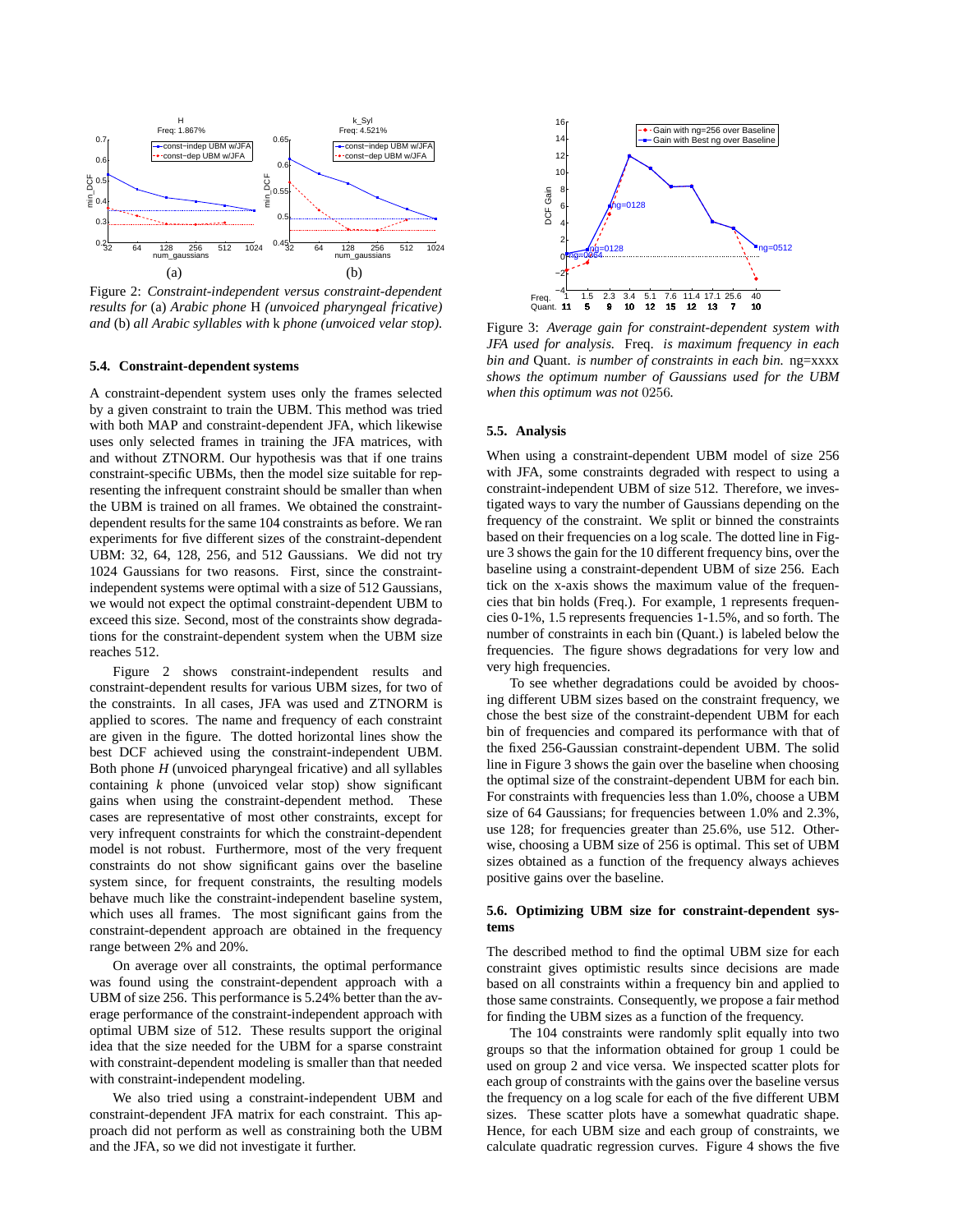

Figure 2: *Constraint-independent versus constraint-dependent results for* (a) *Arabic phone* H *(unvoiced pharyngeal fricative) and* (b) *all Arabic syllables with* k *phone (unvoiced velar stop).*

#### **5.4. Constraint-dependent systems**

A constraint-dependent system uses only the frames selected by a given constraint to train the UBM. This method was tried with both MAP and constraint-dependent JFA, which likewise uses only selected frames in training the JFA matrices, with and without ZTNORM. Our hypothesis was that if one trains constraint-specific UBMs, then the model size suitable for representing the infrequent constraint should be smaller than when the UBM is trained on all frames. We obtained the constraintdependent results for the same 104 constraints as before. We ran experiments for five different sizes of the constraint-dependent UBM: 32, 64, 128, 256, and 512 Gaussians. We did not try 1024 Gaussians for two reasons. First, since the constraintindependent systems were optimal with a size of 512 Gaussians, we would not expect the optimal constraint-dependent UBM to exceed this size. Second, most of the constraints show degradations for the constraint-dependent system when the UBM size reaches 512.

Figure 2 shows constraint-independent results and constraint-dependent results for various UBM sizes, for two of the constraints. In all cases, JFA was used and ZTNORM is applied to scores. The name and frequency of each constraint are given in the figure. The dotted horizontal lines show the best DCF achieved using the constraint-independent UBM. Both phone *H* (unvoiced pharyngeal fricative) and all syllables containing *k* phone (unvoiced velar stop) show significant gains when using the constraint-dependent method. These cases are representative of most other constraints, except for very infrequent constraints for which the constraint-dependent model is not robust. Furthermore, most of the very frequent constraints do not show significant gains over the baseline system since, for frequent constraints, the resulting models behave much like the constraint-independent baseline system, which uses all frames. The most significant gains from the constraint-dependent approach are obtained in the frequency range between 2% and 20%.

On average over all constraints, the optimal performance was found using the constraint-dependent approach with a UBM of size 256. This performance is 5.24% better than the average performance of the constraint-independent approach with optimal UBM size of 512. These results support the original idea that the size needed for the UBM for a sparse constraint with constraint-dependent modeling is smaller than that needed with constraint-independent modeling.

We also tried using a constraint-independent UBM and constraint-dependent JFA matrix for each constraint. This approach did not perform as well as constraining both the UBM and the JFA, so we did not investigate it further.



Figure 3: *Average gain for constraint-dependent system with JFA used for analysis.* Freq. *is maximum frequency in each bin and* Quant. *is number of constraints in each bin.* ng=xxxx *shows the optimum number of Gaussians used for the UBM when this optimum was not* 0256*.*

#### **5.5. Analysis**

When using a constraint-dependent UBM model of size 256 with JFA, some constraints degraded with respect to using a constraint-independent UBM of size 512. Therefore, we investigated ways to vary the number of Gaussians depending on the frequency of the constraint. We split or binned the constraints based on their frequencies on a log scale. The dotted line in Figure 3 shows the gain for the 10 different frequency bins, over the baseline using a constraint-dependent UBM of size 256. Each tick on the x-axis shows the maximum value of the frequencies that bin holds (Freq.). For example, 1 represents frequencies 0-1%, 1.5 represents frequencies 1-1.5%, and so forth. The number of constraints in each bin (Quant.) is labeled below the frequencies. The figure shows degradations for very low and very high frequencies.

To see whether degradations could be avoided by choosing different UBM sizes based on the constraint frequency, we chose the best size of the constraint-dependent UBM for each bin of frequencies and compared its performance with that of the fixed 256-Gaussian constraint-dependent UBM. The solid line in Figure 3 shows the gain over the baseline when choosing the optimal size of the constraint-dependent UBM for each bin. For constraints with frequencies less than 1.0%, choose a UBM size of 64 Gaussians; for frequencies between 1.0% and 2.3%, use 128; for frequencies greater than 25.6%, use 512. Otherwise, choosing a UBM size of 256 is optimal. This set of UBM sizes obtained as a function of the frequency always achieves positive gains over the baseline.

## **5.6. Optimizing UBM size for constraint-dependent systems**

The described method to find the optimal UBM size for each constraint gives optimistic results since decisions are made based on all constraints within a frequency bin and applied to those same constraints. Consequently, we propose a fair method for finding the UBM sizes as a function of the frequency.

The 104 constraints were randomly split equally into two groups so that the information obtained for group 1 could be used on group 2 and vice versa. We inspected scatter plots for each group of constraints with the gains over the baseline versus the frequency on a log scale for each of the five different UBM sizes. These scatter plots have a somewhat quadratic shape. Hence, for each UBM size and each group of constraints, we calculate quadratic regression curves. Figure 4 shows the five